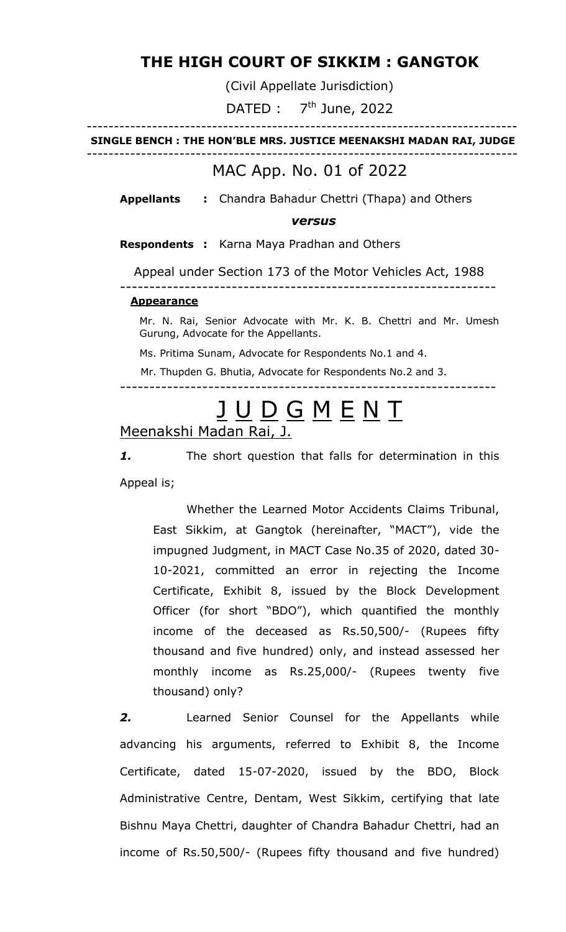# **THE HIGH COURT OF SIKKIM : GANGTOK**

(Civil Appellate Jurisdiction)

DATED :  $7<sup>th</sup>$  June, 2022

### ------------------------------------------------------------------------------- **SINGLE BENCH : THE HON'BLE MRS. JUSTICE MEENAKSHI MADAN RAI, JUDGE**

-------------------------------------------------------------------------------

## MAC App. No. 01 of 2022

**Appellants :** Chandra Bahadur Chettri (Thapa) and Others

### *versus*

**Respondents :** Karna Maya Pradhan and Others

Appeal under Section 173 of the Motor Vehicles Act, 1988

### **Appearance**

Mr. N. Rai, Senior Advocate with Mr. K. B. Chettri and Mr. Umesh Gurung, Advocate for the Appellants.

----------------------------------------------------------------

Ms. Pritima Sunam, Advocate for Respondents No.1 and 4.

Mr. Thupden G. Bhutia, Advocate for Respondents No.2 and 3.

----------------------------------------------------------------

# JUDGMENT

Meenakshi Madan Rai, J.

*1.* The short question that falls for determination in this Appeal is;

Whether the Learned Motor Accidents Claims Tribunal, East Sikkim, at Gangtok (hereinafter, "MACT"), vide the impugned Judgment, in MACT Case No.35 of 2020, dated 30- 10-2021, committed an error in rejecting the Income Certificate, Exhibit 8, issued by the Block Development Officer (for short "BDO"), which quantified the monthly income of the deceased as Rs.50,500/- (Rupees fifty thousand and five hundred) only, and instead assessed her monthly income as Rs.25,000/- (Rupees twenty five thousand) only?

*2.* Learned Senior Counsel for the Appellants while advancing his arguments, referred to Exhibit 8, the Income Certificate, dated 15-07-2020, issued by the BDO, Block Administrative Centre, Dentam, West Sikkim, certifying that late Bishnu Maya Chettri, daughter of Chandra Bahadur Chettri, had an income of Rs.50,500/- (Rupees fifty thousand and five hundred)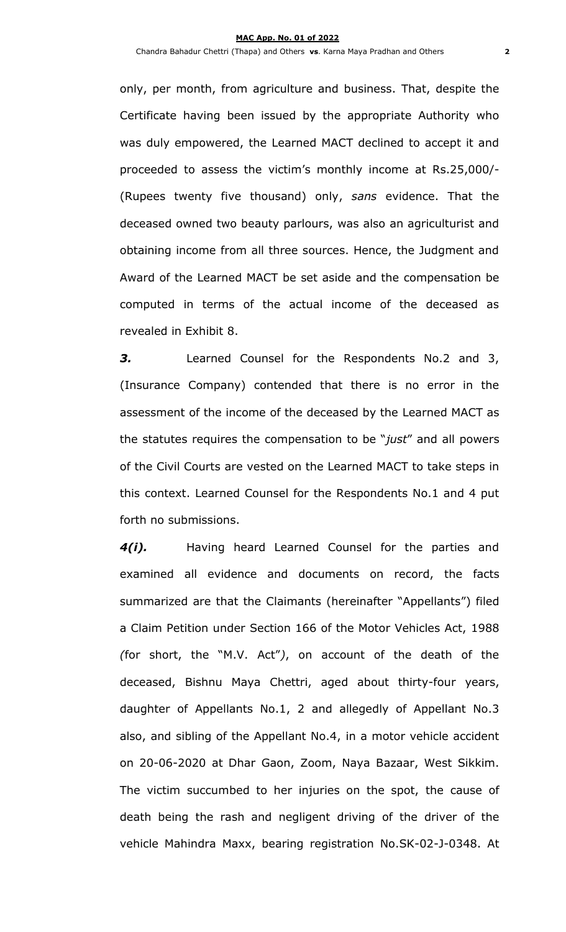only, per month, from agriculture and business. That, despite the Certificate having been issued by the appropriate Authority who was duly empowered, the Learned MACT declined to accept it and proceeded to assess the victim's monthly income at Rs.25,000/- (Rupees twenty five thousand) only, *sans* evidence. That the deceased owned two beauty parlours, was also an agriculturist and obtaining income from all three sources. Hence, the Judgment and Award of the Learned MACT be set aside and the compensation be computed in terms of the actual income of the deceased as revealed in Exhibit 8.

*3.* Learned Counsel for the Respondents No.2 and 3, (Insurance Company) contended that there is no error in the assessment of the income of the deceased by the Learned MACT as the statutes requires the compensation to be "*just*" and all powers of the Civil Courts are vested on the Learned MACT to take steps in this context. Learned Counsel for the Respondents No.1 and 4 put forth no submissions.

*4(i).* Having heard Learned Counsel for the parties and examined all evidence and documents on record, the facts summarized are that the Claimants (hereinafter "Appellants") filed a Claim Petition under Section 166 of the Motor Vehicles Act, 1988 *(*for short, the "M.V. Act"*)*, on account of the death of the deceased, Bishnu Maya Chettri, aged about thirty-four years, daughter of Appellants No.1, 2 and allegedly of Appellant No.3 also, and sibling of the Appellant No.4, in a motor vehicle accident on 20-06-2020 at Dhar Gaon, Zoom, Naya Bazaar, West Sikkim. The victim succumbed to her injuries on the spot, the cause of death being the rash and negligent driving of the driver of the vehicle Mahindra Maxx, bearing registration No.SK-02-J-0348. At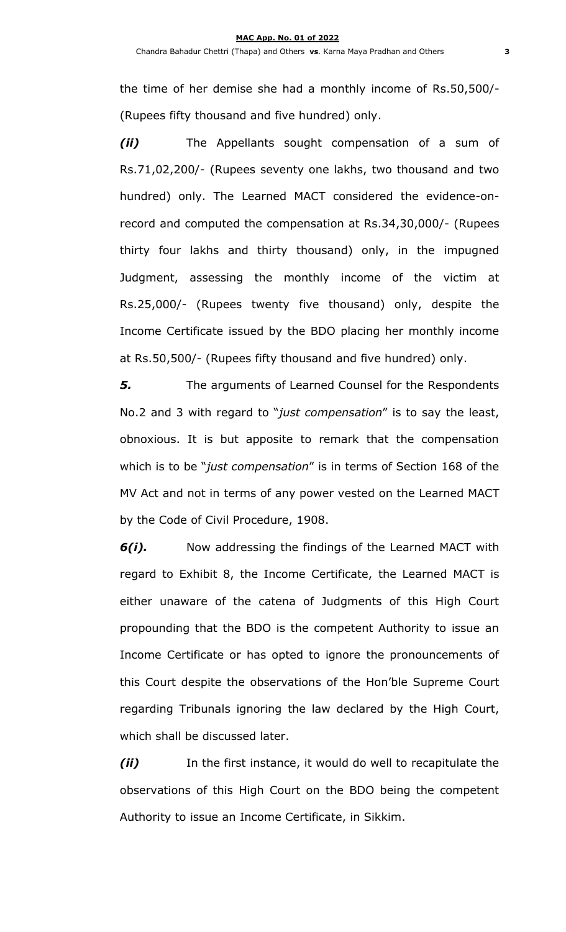the time of her demise she had a monthly income of Rs.50,500/- (Rupees fifty thousand and five hundred) only.

*(ii)* The Appellants sought compensation of a sum of Rs.71,02,200/- (Rupees seventy one lakhs, two thousand and two hundred) only. The Learned MACT considered the evidence-onrecord and computed the compensation at Rs.34,30,000/- (Rupees thirty four lakhs and thirty thousand) only, in the impugned Judgment, assessing the monthly income of the victim at Rs.25,000/- (Rupees twenty five thousand) only, despite the Income Certificate issued by the BDO placing her monthly income at Rs.50,500/- (Rupees fifty thousand and five hundred) only.

*5.* The arguments of Learned Counsel for the Respondents No.2 and 3 with regard to "*just compensation*" is to say the least, obnoxious. It is but apposite to remark that the compensation which is to be "*just compensation*" is in terms of Section 168 of the MV Act and not in terms of any power vested on the Learned MACT by the Code of Civil Procedure, 1908.

*6(i).* Now addressing the findings of the Learned MACT with regard to Exhibit 8, the Income Certificate, the Learned MACT is either unaware of the catena of Judgments of this High Court propounding that the BDO is the competent Authority to issue an Income Certificate or has opted to ignore the pronouncements of this Court despite the observations of the Hon'ble Supreme Court regarding Tribunals ignoring the law declared by the High Court, which shall be discussed later.

*(ii)* In the first instance, it would do well to recapitulate the observations of this High Court on the BDO being the competent Authority to issue an Income Certificate, in Sikkim.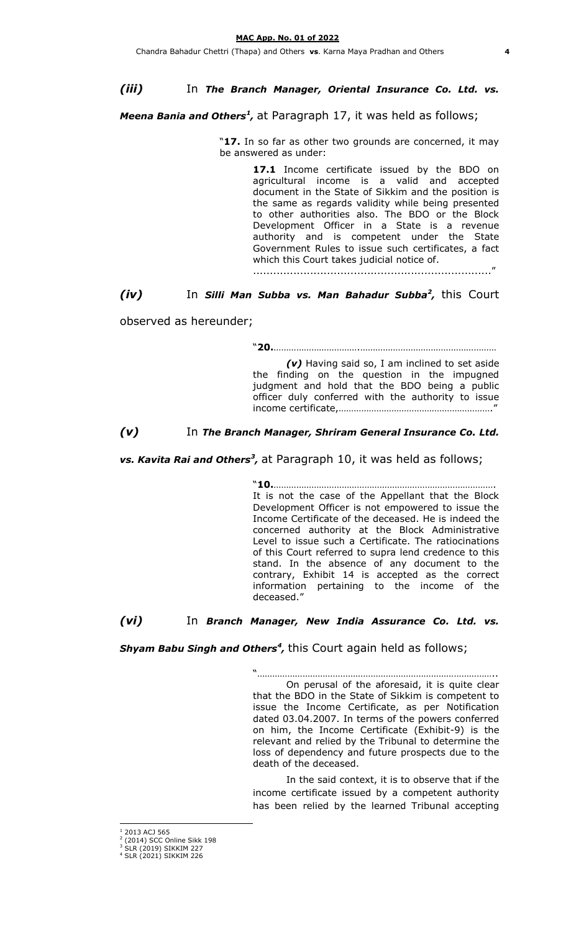*(iii)* In *The Branch Manager, Oriental Insurance Co. Ltd. vs.* 

Meena Bania and Others<sup>1</sup>, at Paragraph 17, it was held as follows;

"**17.** In so far as other two grounds are concerned, it may be answered as under:

> 17.1 Income certificate issued by the BDO on agricultural income is a valid and accepted document in the State of Sikkim and the position is the same as regards validity while being presented to other authorities also. The BDO or the Block Development Officer in a State is a revenue authority and is competent under the State Government Rules to issue such certificates, a fact which this Court takes judicial notice of.

......................................................................."

## *(iv)* In *Silli Man Subba vs. Man Bahadur Subba<sup>2</sup> ,* this Court

observed as hereunder;

"**20.**…………………………….………………………………………………

*(v)* Having said so, I am inclined to set aside the finding on the question in the impugned judgment and hold that the BDO being a public officer duly conferred with the authority to issue income certificate,……………………………………………………."

*(v)* In *The Branch Manager, Shriram General Insurance Co. Ltd.* 

vs. Kavita Rai and Others<sup>3</sup>, at Paragraph 10, it was held as follows;

"**10.**……………………………………………………………………………. It is not the case of the Appellant that the Block Development Officer is not empowered to issue the Income Certificate of the deceased. He is indeed the concerned authority at the Block Administrative Level to issue such a Certificate. The ratiocinations of this Court referred to supra lend credence to this stand. In the absence of any document to the contrary, Exhibit 14 is accepted as the correct information pertaining to the income of the deceased."

*(vi)* In *Branch Manager, New India Assurance Co. Ltd. vs.* 

Shyam Babu Singh and Others<sup>4</sup>, this Court again held as follows;

"………………………………………………………………………………….. On perusal of the aforesaid, it is quite clear that the BDO in the State of Sikkim is competent to issue the Income Certificate, as per Notification dated 03.04.2007. In terms of the powers conferred on him, the Income Certificate (Exhibit-9) is the relevant and relied by the Tribunal to determine the loss of dependency and future prospects due to the death of the deceased.

In the said context, it is to observe that if the income certificate issued by a competent authority has been relied by the learned Tribunal accepting

 $\overline{a}$ 2013 ACJ 565

<sup>&</sup>lt;sup>2</sup> (2014) SCC Online Sikk 198<br><sup>3</sup> SLR (2019) SIKKIM 227

<sup>4</sup> SLR (2021) SIKKIM 226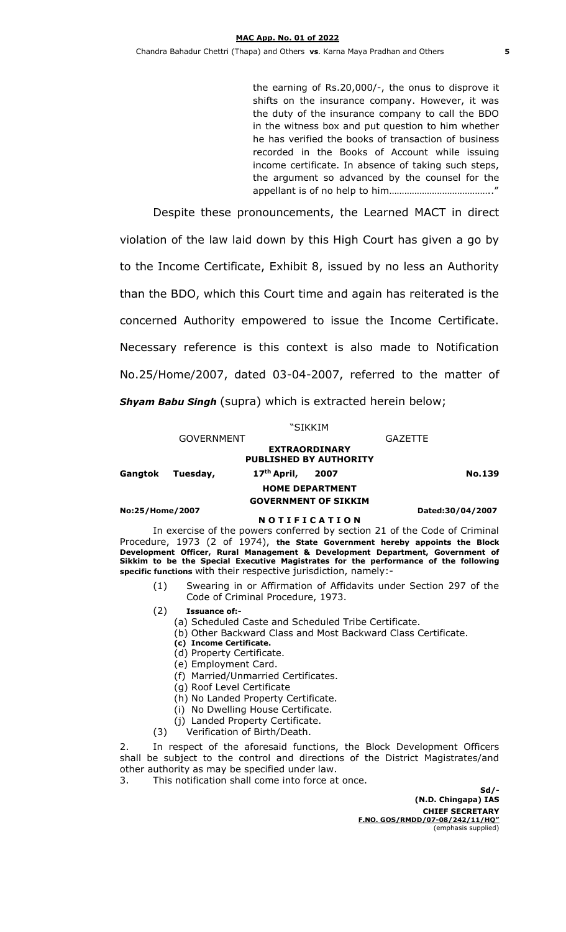the earning of Rs.20,000/-, the onus to disprove it shifts on the insurance company. However, it was the duty of the insurance company to call the BDO in the witness box and put question to him whether he has verified the books of transaction of business recorded in the Books of Account while issuing income certificate. In absence of taking such steps, the argument so advanced by the counsel for the appellant is of no help to him………………………………….."

Despite these pronouncements, the Learned MACT in direct violation of the law laid down by this High Court has given a go by to the Income Certificate, Exhibit 8, issued by no less an Authority than the BDO, which this Court time and again has reiterated is the concerned Authority empowered to issue the Income Certificate. Necessary reference is this context is also made to Notification No.25/Home/2007, dated 03-04-2007, referred to the matter of *Shyam Babu Singh* (supra) which is extracted herein below;

### "SIKKIM

GOVERNMENT GAZETTE

**EXTRAORDINARY PUBLISHED BY AUTHORITY Gangtok Tuesday, 17th April, 2007 No.139**

> **HOME DEPARTMENT GOVERNMENT OF SIKKIM**

#### **No:25/Home/2007 Dated:30/04/2007**

### **N O T I F I C A T I O N**

In exercise of the powers conferred by section 21 of the Code of Criminal Procedure, 1973 (2 of 1974), **the State Government hereby appoints the Block Development Officer, Rural Management & Development Department, Government of Sikkim to be the Special Executive Magistrates for the performance of the following specific functions** with their respective jurisdiction, namely:-

- (1) Swearing in or Affirmation of Affidavits under Section 297 of the Code of Criminal Procedure, 1973.
- (2) **Issuance of:-**
	- (a) Scheduled Caste and Scheduled Tribe Certificate.
	- (b) Other Backward Class and Most Backward Class Certificate.
	- **(c) Income Certificate.**
	- (d) Property Certificate.
	- (e) Employment Card.
	- (f) Married/Unmarried Certificates.
	- (g) Roof Level Certificate
	- (h) No Landed Property Certificate.
	- (i) No Dwelling House Certificate.
	- (j) Landed Property Certificate.
- (3) Verification of Birth/Death.

2. In respect of the aforesaid functions, the Block Development Officers shall be subject to the control and directions of the District Magistrates/and other authority as may be specified under law.

3. This notification shall come into force at once.

**Sd/- (N.D. Chingapa) IAS CHIEF SECRETARY F.NO. GOS/RMDD/07-08/242/11/HQ"** (emphasis supplied)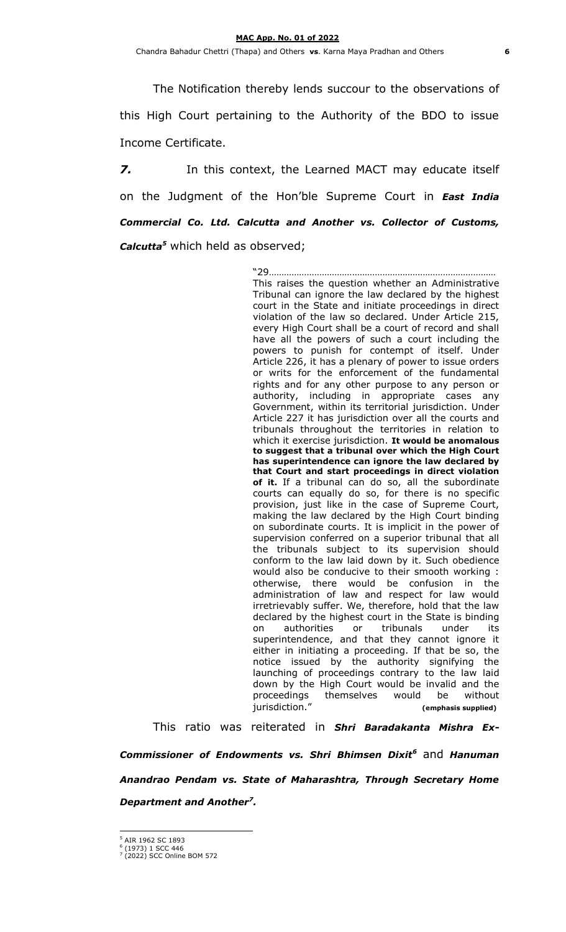The Notification thereby lends succour to the observations of this High Court pertaining to the Authority of the BDO to issue Income Certificate.

*7.* In this context, the Learned MACT may educate itself on the Judgment of the Hon'ble Supreme Court in *East India Commercial Co. Ltd. Calcutta and Another vs. Collector of Customs, Calcutta<sup>5</sup>* which held as observed;

> "29……………………………………………………………………………… This raises the question whether an Administrative Tribunal can ignore the law declared by the highest court in the State and initiate proceedings in direct violation of the law so declared. Under Article 215, every High Court shall be a court of record and shall have all the powers of such a court including the powers to punish for contempt of itself. Under Article 226, it has a plenary of power to issue orders or writs for the enforcement of the fundamental rights and for any other purpose to any person or authority, including in appropriate cases any Government, within its territorial jurisdiction. Under Article 227 it has jurisdiction over all the courts and tribunals throughout the territories in relation to which it exercise jurisdiction. **It would be anomalous to suggest that a tribunal over which the High Court has superintendence can ignore the law declared by that Court and start proceedings in direct violation of it.** If a tribunal can do so, all the subordinate courts can equally do so, for there is no specific provision, just like in the case of Supreme Court, making the law declared by the High Court binding on subordinate courts. It is implicit in the power of supervision conferred on a superior tribunal that all the tribunals subject to its supervision should conform to the law laid down by it. Such obedience would also be conducive to their smooth working : otherwise, there would be confusion in the administration of law and respect for law would irretrievably suffer. We, therefore, hold that the law declared by the highest court in the State is binding on authorities or tribunals under its superintendence, and that they cannot ignore it either in initiating a proceeding. If that be so, the notice issued by the authority signifying the launching of proceedings contrary to the law laid down by the High Court would be invalid and the proceedings themselves would be without<br>jurisdiction." (emphasis supplied)  $(emphasis supplied)$

This ratio was reiterated in *Shri Baradakanta Mishra Ex-Commissioner of Endowments vs. Shri Bhimsen Dixit<sup>6</sup>* and *Hanuman Anandrao Pendam vs. State of Maharashtra, Through Secretary Home Department and Another<sup>7</sup> .*

 $\overline{a}$ 

<sup>5</sup> AIR 1962 SC 1893 6 (1973) 1 SCC 446

<sup>7</sup> (2022) SCC Online BOM 572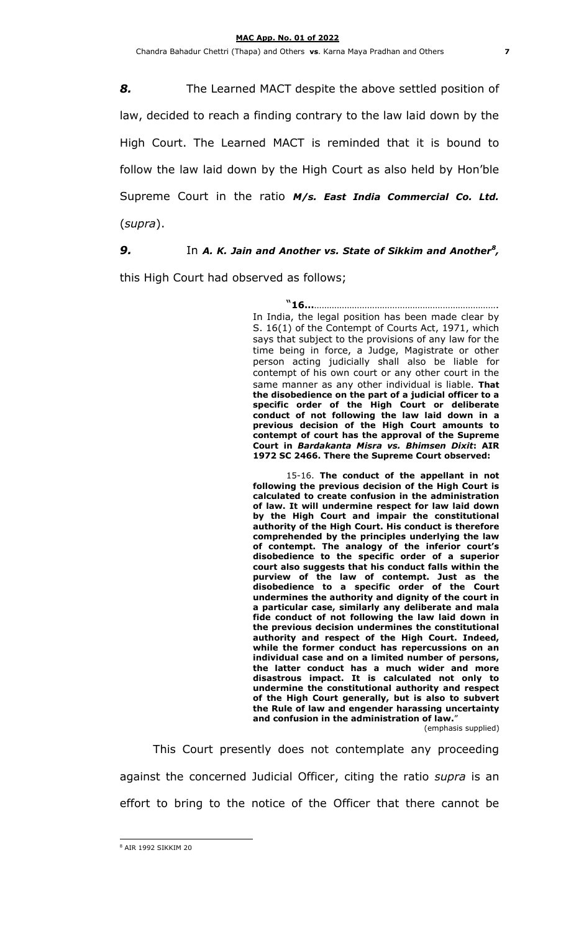Chandra Bahadur Chettri (Thapa) and Others **vs**. Karna Maya Pradhan and Others **7**

*8.* The Learned MACT despite the above settled position of law, decided to reach a finding contrary to the law laid down by the High Court. The Learned MACT is reminded that it is bound to follow the law laid down by the High Court as also held by Hon'ble Supreme Court in the ratio *M/s. East India Commercial Co. Ltd.*  (*supra*).

*9.* In *A. K. Jain and Another vs. State of Sikkim and Another<sup>8</sup> ,* 

this High Court had observed as follows;

"**16…**………………………………………………………………. In India, the legal position has been made clear by S. 16(1) of the Contempt of Courts Act, 1971, which says that subject to the provisions of any law for the time being in force, a Judge, Magistrate or other person acting judicially shall also be liable for contempt of his own court or any other court in the same manner as any other individual is liable. **That the disobedience on the part of a judicial officer to a specific order of the High Court or deliberate conduct of not following the law laid down in a previous decision of the High Court amounts to contempt of court has the approval of the Supreme Court in** *Bardakanta Misra vs. Bhimsen Dixit***: AIR 1972 SC 2466. There the Supreme Court observed:**

15-16. **The conduct of the appellant in not following the previous decision of the High Court is calculated to create confusion in the administration of law. It will undermine respect for law laid down by the High Court and impair the constitutional authority of the High Court. His conduct is therefore comprehended by the principles underlying the law of contempt. The analogy of the inferior court's disobedience to the specific order of a superior court also suggests that his conduct falls within the purview of the law of contempt. Just as the disobedience to a specific order of the Court undermines the authority and dignity of the court in a particular case, similarly any deliberate and mala fide conduct of not following the law laid down in the previous decision undermines the constitutional authority and respect of the High Court. Indeed, while the former conduct has repercussions on an individual case and on a limited number of persons, the latter conduct has a much wider and more disastrous impact. It is calculated not only to undermine the constitutional authority and respect of the High Court generally, but is also to subvert the Rule of law and engender harassing uncertainty and confusion in the administration of law.**"

(emphasis supplied)

This Court presently does not contemplate any proceeding against the concerned Judicial Officer, citing the ratio *supra* is an effort to bring to the notice of the Officer that there cannot be

 $\overline{a}$ 

<sup>8</sup> AIR 1992 SIKKIM 20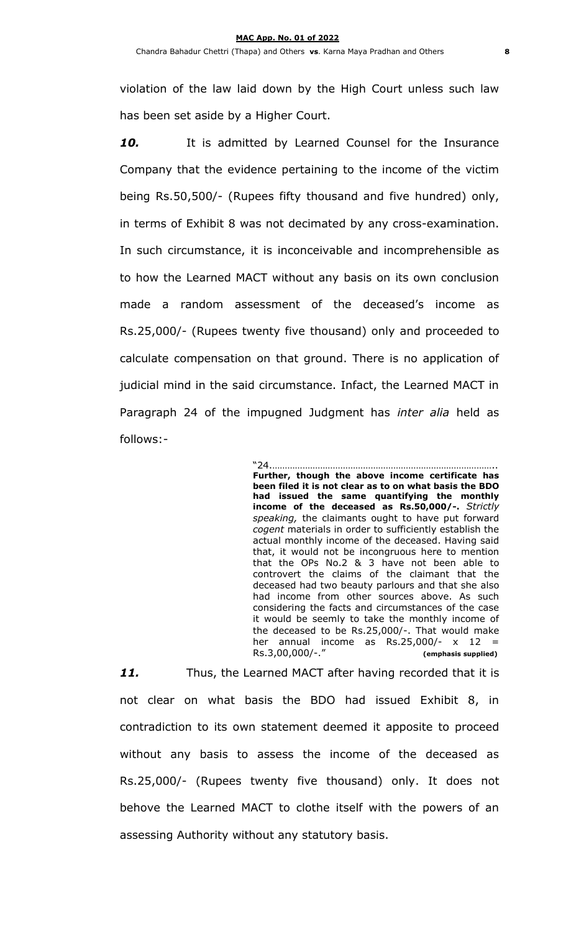violation of the law laid down by the High Court unless such law has been set aside by a Higher Court.

*10.* It is admitted by Learned Counsel for the Insurance Company that the evidence pertaining to the income of the victim being Rs.50,500/- (Rupees fifty thousand and five hundred) only, in terms of Exhibit 8 was not decimated by any cross-examination. In such circumstance, it is inconceivable and incomprehensible as to how the Learned MACT without any basis on its own conclusion made a random assessment of the deceased's income as Rs.25,000/- (Rupees twenty five thousand) only and proceeded to calculate compensation on that ground. There is no application of judicial mind in the said circumstance. Infact, the Learned MACT in Paragraph 24 of the impugned Judgment has *inter alia* held as follows:-

> "24.…………………………………………………………………………….. **Further, though the above income certificate has been filed it is not clear as to on what basis the BDO had issued the same quantifying the monthly income of the deceased as Rs.50,000/-.** *Strictly speaking,* the claimants ought to have put forward *cogent* materials in order to sufficiently establish the actual monthly income of the deceased. Having said that, it would not be incongruous here to mention that the OPs No.2 & 3 have not been able to controvert the claims of the claimant that the deceased had two beauty parlours and that she also had income from other sources above. As such considering the facts and circumstances of the case it would be seemly to take the monthly income of the deceased to be Rs.25,000/-. That would make her annual income as  $Rs.25,000/- \times 12 =$ Rs.3,00,000/-." **(emphasis supplied)**

*11.* Thus, the Learned MACT after having recorded that it is not clear on what basis the BDO had issued Exhibit 8, in contradiction to its own statement deemed it apposite to proceed without any basis to assess the income of the deceased as Rs.25,000/- (Rupees twenty five thousand) only. It does not behove the Learned MACT to clothe itself with the powers of an assessing Authority without any statutory basis.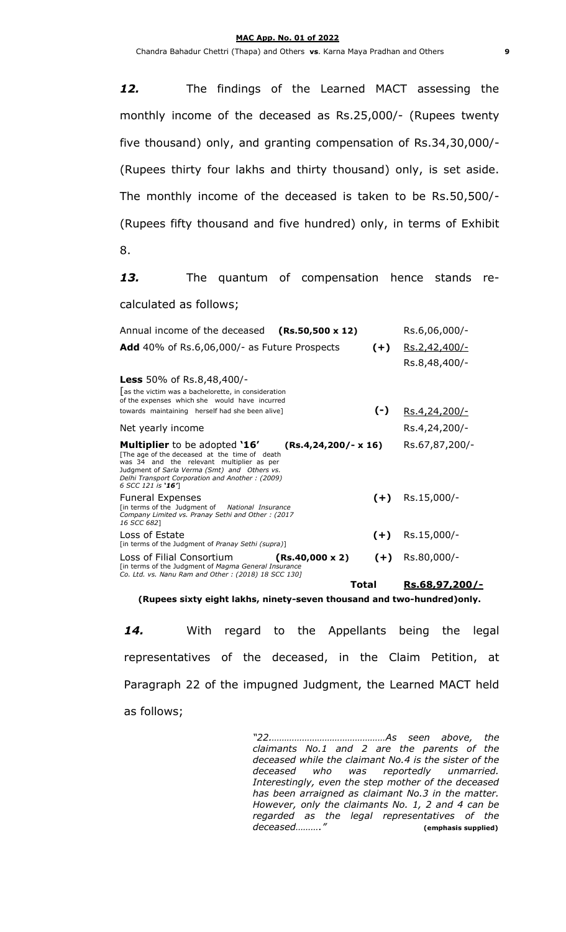*12.* The findings of the Learned MACT assessing the monthly income of the deceased as Rs.25,000/- (Rupees twenty five thousand) only, and granting compensation of Rs.34,30,000/- (Rupees thirty four lakhs and thirty thousand) only, is set aside. The monthly income of the deceased is taken to be Rs.50,500/- (Rupees fifty thousand and five hundred) only, in terms of Exhibit

8.

*13.* The quantum of compensation hence stands recalculated as follows;

| Annual income of the deceased<br>$(Rs.50,500 \times 12)$                                                                                                                                                                                                    |                          | Rs.6,06,000/-  |
|-------------------------------------------------------------------------------------------------------------------------------------------------------------------------------------------------------------------------------------------------------------|--------------------------|----------------|
| <b>Add</b> 40% of Rs.6,06,000/- as Future Prospects                                                                                                                                                                                                         | $(+)$                    | Rs.2,42,400/-  |
|                                                                                                                                                                                                                                                             |                          | Rs.8,48,400/-  |
| <b>Less</b> 50% of Rs.8,48,400/-                                                                                                                                                                                                                            |                          |                |
| as the victim was a bachelorette, in consideration<br>of the expenses which she would have incurred                                                                                                                                                         |                          |                |
| towards maintaining herself had she been alive]                                                                                                                                                                                                             | $(-)$                    | Rs.4,24,200/-  |
| Net yearly income                                                                                                                                                                                                                                           |                          | Rs.4,24,200/-  |
| <b>Multiplier</b> to be adopted '16'<br>[The age of the deceased at the time of death<br>was 34 and the relevant multiplier as per<br>Judgment of Sarla Verma (Smt) and Others vs.<br>Delhi Transport Corporation and Another: (2009)<br>6 SCC 121 is '16'] | $(Rs.4, 24, 200/- x 16)$ | Rs.67,87,200/- |
| <b>Funeral Expenses</b><br>[in terms of the Judgment of National Insurance<br>Company Limited vs. Pranay Sethi and Other: (2017<br>16 SCC 6821                                                                                                              | $(+)$                    | Rs.15,000/-    |
| Loss of Estate<br>[in terms of the Judgment of Pranay Sethi (supra)]                                                                                                                                                                                        | $(+)$                    | Rs.15,000/-    |
| Loss of Filial Consortium<br>$(Rs.40,000 \times 2)$<br>[in terms of the Judgment of Magma General Insurance<br>Co. Ltd. vs. Nanu Ram and Other: (2018) 18 SCC 130]                                                                                          | $(+)$                    | Rs.80,000/-    |
|                                                                                                                                                                                                                                                             | Total                    | Rs.68,97,200/- |

**(Rupees sixty eight lakhs, ninety-seven thousand and two-hundred)only.**

*14.* With regard to the Appellants being the legal representatives of the deceased, in the Claim Petition, at Paragraph 22 of the impugned Judgment, the Learned MACT held as follows;

> *"22.………………………………………As seen above, the claimants No.1 and 2 are the parents of the deceased while the claimant No.4 is the sister of the deceased who was reportedly unmarried. Interestingly, even the step mother of the deceased has been arraigned as claimant No.3 in the matter. However, only the claimants No. 1, 2 and 4 can be regarded as the legal representatives of the deceased………."* **(emphasis supplied)**